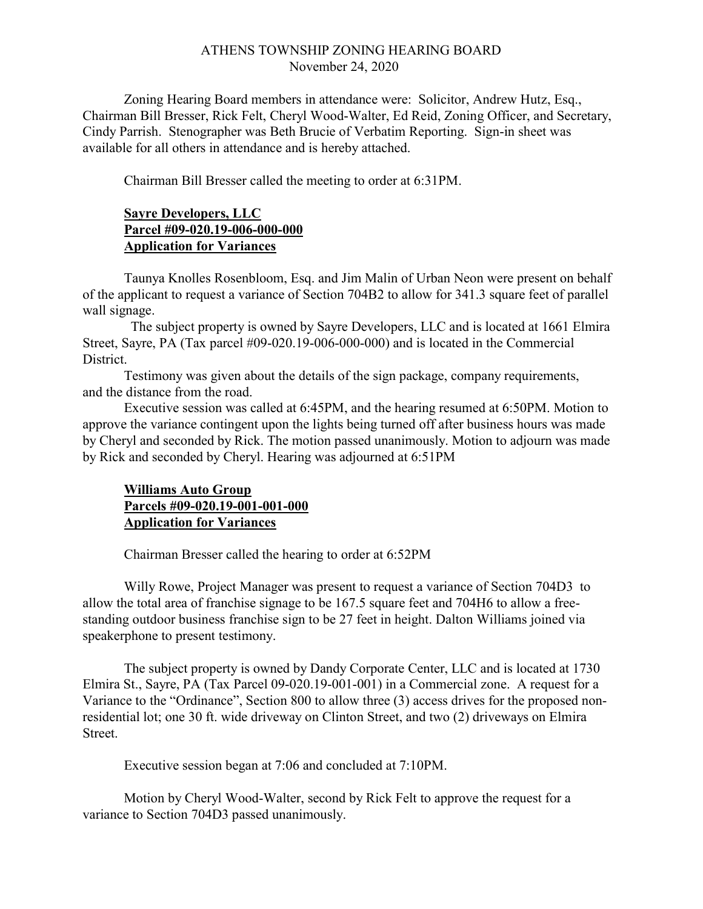## ATHENS TOWNSHIP ZONING HEARING BOARD November 24, 2020

Zoning Hearing Board members in attendance were: Solicitor, Andrew Hutz, Esq., Chairman Bill Bresser, Rick Felt, Cheryl Wood-Walter, Ed Reid, Zoning Officer, and Secretary, Cindy Parrish. Stenographer was Beth Brucie of Verbatim Reporting. Sign-in sheet was available for all others in attendance and is hereby attached.

Chairman Bill Bresser called the meeting to order at 6:31PM.

## Sayre Developers, LLC Parcel #09-020.19-006-000-000 **Application for Variances**

Taunya Knolles Rosenbloom, Esq. and Jim Malin of Urban Neon were present on behalf of the applicant to request a variance of Section 704B2 to allow for 341.3 square feet of parallel wall signage.

 The subject property is owned by Sayre Developers, LLC and is located at 1661 Elmira Street, Sayre, PA (Tax parcel #09-020.19-006-000-000) and is located in the Commercial District.

Testimony was given about the details of the sign package, company requirements, and the distance from the road.

 Executive session was called at 6:45PM, and the hearing resumed at 6:50PM. Motion to approve the variance contingent upon the lights being turned off after business hours was made by Cheryl and seconded by Rick. The motion passed unanimously. Motion to adjourn was made by Rick and seconded by Cheryl. Hearing was adjourned at 6:51PM

## Williams Auto Group Parcels #09-020.19-001-001-000 Application for Variances

Chairman Bresser called the hearing to order at 6:52PM

 Willy Rowe, Project Manager was present to request a variance of Section 704D3 to allow the total area of franchise signage to be 167.5 square feet and 704H6 to allow a freestanding outdoor business franchise sign to be 27 feet in height. Dalton Williams joined via speakerphone to present testimony.

The subject property is owned by Dandy Corporate Center, LLC and is located at 1730 Elmira St., Sayre, PA (Tax Parcel 09-020.19-001-001) in a Commercial zone. A request for a Variance to the "Ordinance", Section 800 to allow three (3) access drives for the proposed nonresidential lot; one 30 ft. wide driveway on Clinton Street, and two (2) driveways on Elmira Street.

Executive session began at 7:06 and concluded at 7:10PM.

Motion by Cheryl Wood-Walter, second by Rick Felt to approve the request for a variance to Section 704D3 passed unanimously.